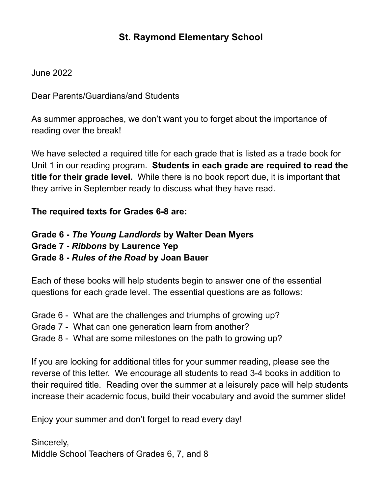#### **St. Raymond Elementary School**

June 2022

Dear Parents/Guardians/and Students

As summer approaches, we don't want you to forget about the importance of reading over the break!

We have selected a required title for each grade that is listed as a trade book for Unit 1 in our reading program. **Students in each grade are required to read the title for their grade level.** While there is no book report due, it is important that they arrive in September ready to discuss what they have read.

**The required texts for Grades 6-8 are:**

**Grade 6 -** *The Young Landlords* **by Walter Dean Myers Grade 7 -** *Ribbons* **by Laurence Yep Grade 8 -** *Rules of the Road* **by Joan Bauer**

Each of these books will help students begin to answer one of the essential questions for each grade level. The essential questions are as follows:

- Grade 6 What are the challenges and triumphs of growing up?
- Grade 7 What can one generation learn from another?
- Grade 8 What are some milestones on the path to growing up?

If you are looking for additional titles for your summer reading, please see the reverse of this letter. We encourage all students to read 3-4 books in addition to their required title. Reading over the summer at a leisurely pace will help students increase their academic focus, build their vocabulary and avoid the summer slide!

Enjoy your summer and don't forget to read every day!

Sincerely, Middle School Teachers of Grades 6, 7, and 8